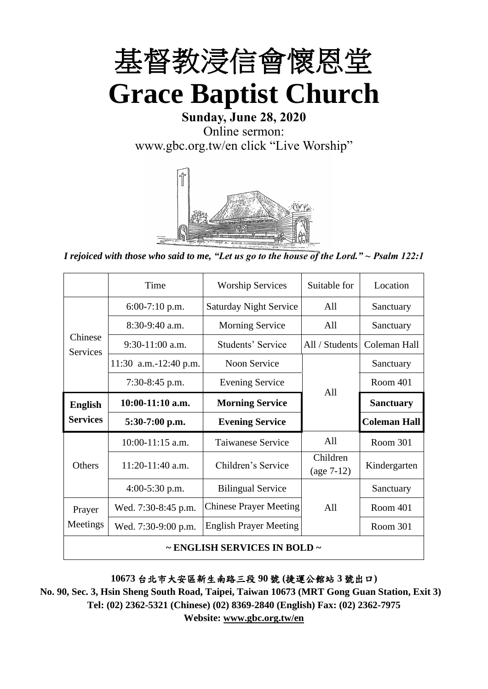

**Sunday, June 28, 2020** Online sermon: [www.gbc.org.tw/en](http://www.gbc.org.tw/en) click "Live Worship"



*I rejoiced with those who said to me, "Let us go to the house of the Lord." ~ Psalm 122:1*

|                                        | Time                  | <b>Worship Services</b>       | Suitable for             | Location            |
|----------------------------------------|-----------------------|-------------------------------|--------------------------|---------------------|
|                                        | 6:00-7:10 p.m.        | <b>Saturday Night Service</b> | All                      | Sanctuary           |
|                                        | $8:30-9:40$ a.m.      | <b>Morning Service</b>        | All                      | Sanctuary           |
| Chinese<br><b>Services</b>             | $9:30-11:00$ a.m.     | Students' Service             | All / Students           | Coleman Hall        |
|                                        | 11:30 a.m.-12:40 p.m. | <b>Noon Service</b>           |                          | Sanctuary           |
|                                        | $7:30-8:45$ p.m.      | <b>Evening Service</b>        |                          | <b>Room 401</b>     |
| <b>English</b>                         | $10:00-11:10$ a.m.    | <b>Morning Service</b>        | A11                      | <b>Sanctuary</b>    |
| <b>Services</b>                        | $5:30-7:00$ p.m.      | <b>Evening Service</b>        |                          | <b>Coleman Hall</b> |
|                                        | $10:00-11:15$ a.m.    | Taiwanese Service             | All                      | <b>Room 301</b>     |
| Others                                 | $11:20-11:40$ a.m.    | Children's Service            | Children<br>$(age 7-12)$ | Kindergarten        |
|                                        | $4:00-5:30$ p.m.      | <b>Bilingual Service</b>      |                          | Sanctuary           |
| Prayer                                 | Wed. 7:30-8:45 p.m.   | <b>Chinese Prayer Meeting</b> | A11                      | Room 401            |
| Meetings                               | Wed. 7:30-9:00 p.m.   | <b>English Prayer Meeting</b> |                          | Room 301            |
| $\sim$ ENGLISH SERVICES IN BOLD $\sim$ |                       |                               |                          |                     |

#### **10673** 台北市大安區新生南路三段 **90** 號 **(**捷運公館站 **3** 號出口**)**

**No. 90, Sec. 3, Hsin Sheng South Road, Taipei, Taiwan 10673 (MRT Gong Guan Station, Exit 3) Tel: (02) 2362-5321 (Chinese) (02) 8369-2840 (English) Fax: (02) 2362-7975 Website: www.gbc.org.tw/en**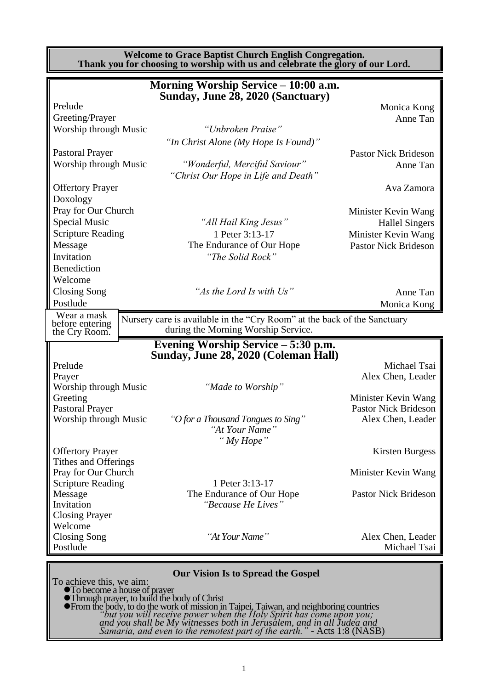**Welcome to Grace Baptist Church English Congregation. Thank you for choosing to worship with us and celebrate the glory of our Lord.**

|                          | Morning Worship Service - 10:00 a.m.                                                                            |                             |
|--------------------------|-----------------------------------------------------------------------------------------------------------------|-----------------------------|
|                          | Sunday, June 28, 2020 (Sanctuary)                                                                               |                             |
| Prelude                  |                                                                                                                 | Monica Kong                 |
| Greeting/Prayer          |                                                                                                                 | Anne Tan                    |
| Worship through Music    | "Unbroken Praise"                                                                                               |                             |
|                          | "In Christ Alone (My Hope Is Found)"                                                                            |                             |
| <b>Pastoral Prayer</b>   |                                                                                                                 | <b>Pastor Nick Brideson</b> |
| Worship through Music    | "Wonderful, Merciful Saviour"                                                                                   | Anne Tan                    |
|                          | "Christ Our Hope in Life and Death"                                                                             |                             |
| <b>Offertory Prayer</b>  |                                                                                                                 | Ava Zamora                  |
| Doxology                 |                                                                                                                 |                             |
| Pray for Our Church      |                                                                                                                 | Minister Kevin Wang         |
| Special Music            | "All Hail King Jesus"                                                                                           | <b>Hallel Singers</b>       |
| <b>Scripture Reading</b> | 1 Peter 3:13-17                                                                                                 | Minister Kevin Wang         |
| Message                  | The Endurance of Our Hope                                                                                       | <b>Pastor Nick Brideson</b> |
| Invitation               | "The Solid Rock"                                                                                                |                             |
| Benediction              |                                                                                                                 |                             |
| Welcome                  |                                                                                                                 |                             |
| Closing Song             | "As the Lord Is with Us"                                                                                        | Anne Tan                    |
| Postlude                 |                                                                                                                 | Monica Kong                 |
| Wear a mask              |                                                                                                                 |                             |
| before entering          | Nursery care is available in the "Cry Room" at the back of the Sanctuary<br>during the Morning Worship Service. |                             |
| the Cry Room.            |                                                                                                                 |                             |
|                          | Evening Worship Service – 5:30 p.m.<br>Sunday, June 28, 2020 (Coleman Hall)                                     |                             |
| Prelude                  |                                                                                                                 | Michael Tsai                |
| Prayer                   |                                                                                                                 | Alex Chen, Leader           |
| Worship through Music    | "Made to Worship"                                                                                               |                             |
| Greeting                 |                                                                                                                 | Minister Kevin Wang         |
| <b>Pastoral Prayer</b>   |                                                                                                                 | <b>Pastor Nick Brideson</b> |
| Worship through Music    | "O for a Thousand Tongues to Sing"<br>"At Your Name"                                                            | Alex Chen, Leader           |
|                          | "My Hope"                                                                                                       |                             |
| <b>Offertory Prayer</b>  |                                                                                                                 | <b>Kirsten Burgess</b>      |
| Tithes and Offerings     |                                                                                                                 |                             |
| Pray for Our Church      |                                                                                                                 | Minister Kevin Wang         |
| <b>Scripture Reading</b> | 1 Peter 3:13-17                                                                                                 |                             |
| Message                  | The Endurance of Our Hope                                                                                       | <b>Pastor Nick Brideson</b> |
| Invitation               | "Because He Lives"                                                                                              |                             |
| <b>Closing Prayer</b>    |                                                                                                                 |                             |
| Welcome                  |                                                                                                                 |                             |
| <b>Closing Song</b>      | "At Your Name"                                                                                                  | Alex Chen, Leader           |
| Postlude                 |                                                                                                                 | Michael Tsai                |
|                          |                                                                                                                 |                             |

#### **Our Vision Is to Spread the Gospel**

To achieve this, we aim:

⚫To become a house of prayer ⚫Through prayer, to build the body of Christ

⚫From the body, to do the work of mission in Taipei, Taiwan, and neighboring countries *"but you will receive power when the Holy Spirit has come upon you; and you shall be My witnesses both in Jerusalem, and in all Judea and Samaria, and even to the remotest part of the earth."* - Acts 1:8 (NASB)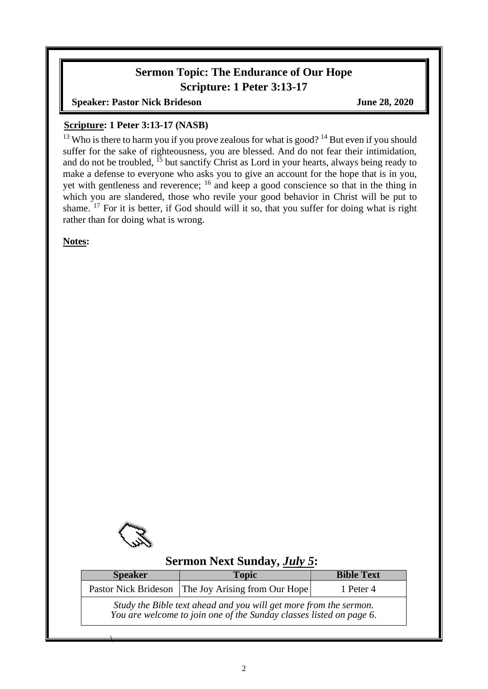### **Sermon Topic: The Endurance of Our Hope Scripture: 1 Peter 3:13-17**

**Speaker: Pastor Nick Brideson June 28, 2020** 

#### **Scripture: 1 Peter 3:13-17 (NASB)**

<sup>13</sup> Who is there to harm you if you prove zealous for what is good?<sup>14</sup> But even if you should suffer for the sake of righteousness, you are blessed. And do not fear their intimidation, and do not be troubled,  $^{15}$  but sanctify Christ as Lord in your hearts, always being ready to make a defense to everyone who asks you to give an account for the hope that is in you, yet with gentleness and reverence; <sup>16</sup> and keep a good conscience so that in the thing in which you are slandered, those who revile your good behavior in Christ will be put to shame.  $17$  For it is better, if God should will it so, that you suffer for doing what is right rather than for doing what is wrong.

**Notes:**

 $\overline{\phantom{a}}$ 

### **Sermon Next Sunday,** *July 5***:**

| <b>Speaker</b>                                                                                                                           | <b>Topic</b>                                       | <b>Bible Text</b> |  |
|------------------------------------------------------------------------------------------------------------------------------------------|----------------------------------------------------|-------------------|--|
|                                                                                                                                          | Pastor Nick Brideson The Joy Arising from Our Hope | 1 Peter 4         |  |
| Study the Bible text ahead and you will get more from the sermon.<br>You are welcome to join one of the Sunday classes listed on page 6. |                                                    |                   |  |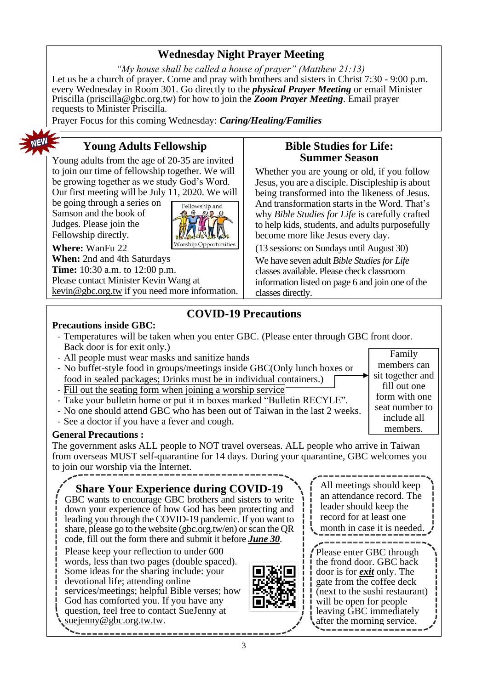### **Wednesday Night Prayer Meeting**

*"My house shall be called a house of prayer" (Matthew 21:13)* Let us be a church of prayer. Come and pray with brothers and sisters in Christ 7:30 - 9:00 p.m. every Wednesday in Room 301. Go directly to the *physical Prayer Meeting* or email Minister Priscilla (priscilla@gbc.org.tw) for how to join the *Zoom Prayer Meeting*. Email prayer requests to Minister Priscilla.

Prayer Focus for this coming Wednesday: *Caring/Healing/Families*



## **Young Adults Fellowship**

Young adults from the age of 20-35 are invited to join our time of fellowship together. We will be growing together as we study God's Word. Our first meeting will be July 11, 2020. We will

be going through a series on Samson and the book of Judges. Please join the Fellowship directly.



**Where:** WanFu 22 **When:** 2nd and 4th Saturdays **Time:** 10:30 a.m. to 12:00 p.m. Please contact Minister Kevin Wang at [kevin@gbc.org.tw](mailto:kevin@gbc.org.tw) if you need more information.

### **Bible Studies for Life: Summer Season**

Whether you are young or old, if you follow Jesus, you are a disciple. Discipleship is about being transformed into the likeness of Jesus. And transformation starts in the Word. That's why *Bible Studies for Life* is carefully crafted to help kids, students, and adults purposefully become more like Jesus every day.

(13 sessions: on Sundays until August 30) We have seven adult *Bible Studies for Life* classes available. Please check classroom information listed on page 6 and join one of the classes directly.

## **COVID-19 Precautions**

#### **Precautions inside GBC:**

- Temperatures will be taken when you enter GBC. (Please enter through GBC front door. Back door is for exit only.) Family
- All people must wear masks and sanitize hands
- No buffet-style food in groups/meetings inside GBC(Only lunch boxes or food in sealed packages; Drinks must be in individual containers.)
- Fill out the seating form when joining a worship service
- Take your bulletin home or put it in boxes marked "Bulletin RECYLE".
- No one should attend GBC who has been out of Taiwan in the last 2 weeks.
- See a doctor if you have a fever and cough.

#### **General Precautions :**

The government asks ALL people to NOT travel overseas. ALL people who arrive in Taiwan from overseas MUST self-quarantine for 14 days. During your quarantine, GBC welcomes you to join our worship via the Internet.

**Share Your Experience during COVID-19**

GBC wants to encourage GBC brothers and sisters to write down your experience of how God has been protecting and leading you through the COVID-19 pandemic. If you want to share, please go to the website (gbc.org.tw/en) or scan the QR code, fill out the form there and submit it before *June 30*.

Please keep your reflection to under 600 words, less than two pages (double spaced). Some ideas for the sharing include: your devotional life; attending online services/meetings; helpful Bible verses; how God has comforted you. If you have any question, feel free to contact SueJenny at suejenny@gbc.org.tw.tw.



All meetings should keep an attendance record. The leader should keep the record for at least one

members can sit together and fill out one form with one seat number to include all members.

month in case it is needed.

Please enter GBC through the frond door. GBC back door is for *exit* only. The gate from the coffee deck (next to the sushi restaurant) will be open for people leaving GBC immediately after the morning service.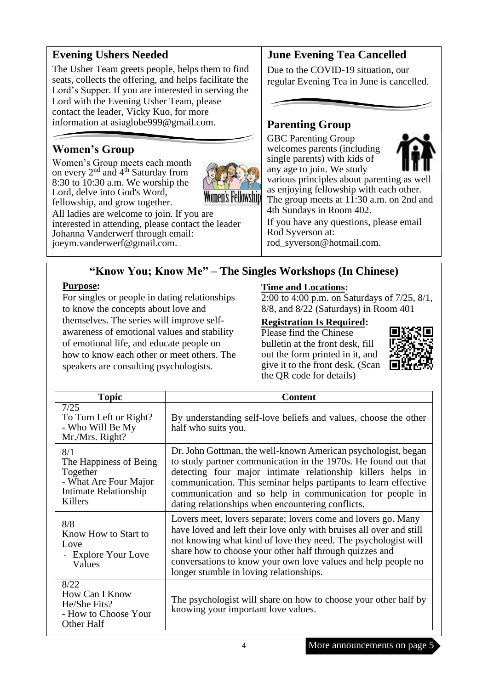### **Evening Ushers Needed**

The Usher Team greets people, helps them to find seats, collects the offering, and helps facilitate the Lord's Supper. If you are interested in serving the Lord with the Evening Usher Team, please contact the leader, Vicky Kuo, for more information at [asiaglobe999@gmail.com.](mailto:asiaglobe999@gmail.com)

## **Women's Group**

Women's Group meets each month on every 2<sup>nd</sup> and 4<sup>th</sup> Saturday from 8:30 to 10:30 a.m. We worship the Lord, delve into God's Word, fellowship, and grow together.



All ladies are welcome to join. If you are interested in attending, please contact the leader Johanna Vanderwerf through email: [joeym.vanderwerf@gmail.com.](mailto:joeym.vanderwerf@gmail.com)

### **June Evening Tea Cancelled**

Due to the COVID-19 situation, our regular Evening Tea in June is cancelled.

### **Parenting Group**

GBC Parenting Group welcomes parents (including single parents) with kids of



any age to join. We study various principles about parenting as well as enjoying fellowship with each other. The group meets at 11:30 a.m. on 2nd and 4th Sundays in Room 402.

If you have any questions, please email Rod Syverson at: [rod\\_syverson@hotmail.com.](mailto:rod_syverson@hotmail.com)

## **"Know You; Know Me" – The Singles Workshops (In Chinese)**

#### **Purpose:**

For singles or people in dating relationships to know the concepts about love and themselves. The series will improve selfawareness of emotional values and stability of emotional life, and educate people on how to know each other or meet others. The speakers are consulting psychologists.

#### **Time and Locations:**

2:00 to 4:00 p.m. on Saturdays of 7/25, 8/1, 8/8, and 8/22 (Saturdays) in Room 401

#### **Registration Is Required:**

Please find the Chinese bulletin at the front desk, fill out the form printed in it, and give it to the front desk. (Scan the QR code for details)



| <b>Topic</b>                                                                                           | <b>Content</b>                                                                                                                                                                                                                                                                                                                                                                     |  |  |
|--------------------------------------------------------------------------------------------------------|------------------------------------------------------------------------------------------------------------------------------------------------------------------------------------------------------------------------------------------------------------------------------------------------------------------------------------------------------------------------------------|--|--|
| 7/25<br>To Turn Left or Right?<br>- Who Will Be My<br>Mr./Mrs. Right?                                  | By understanding self-love beliefs and values, choose the other<br>half who suits you.                                                                                                                                                                                                                                                                                             |  |  |
| 8/1<br>The Happiness of Being<br>Together<br>- What Are Four Major<br>Intimate Relationship<br>Killers | Dr. John Gottman, the well-known American psychologist, began<br>to study partner communication in the 1970s. He found out that<br>detecting four major intimate relationship killers helps in<br>communication. This seminar helps partipants to learn effective<br>communication and so help in communication for people in<br>dating relationships when encountering conflicts. |  |  |
| 8/8<br>Know How to Start to<br>Love<br>- Explore Your Love<br>Values                                   | Lovers meet, lovers separate; lovers come and lovers go. Many<br>have loved and left their love only with bruises all over and still<br>not knowing what kind of love they need. The psychologist will<br>share how to choose your other half through quizzes and<br>conversations to know your own love values and help people no<br>longer stumble in loving relationships.      |  |  |
| 8/22<br>How Can I Know<br>He/She Fits?<br>- How to Choose Your<br>Other Half                           | The psychologist will share on how to choose your other half by<br>knowing your important love values.                                                                                                                                                                                                                                                                             |  |  |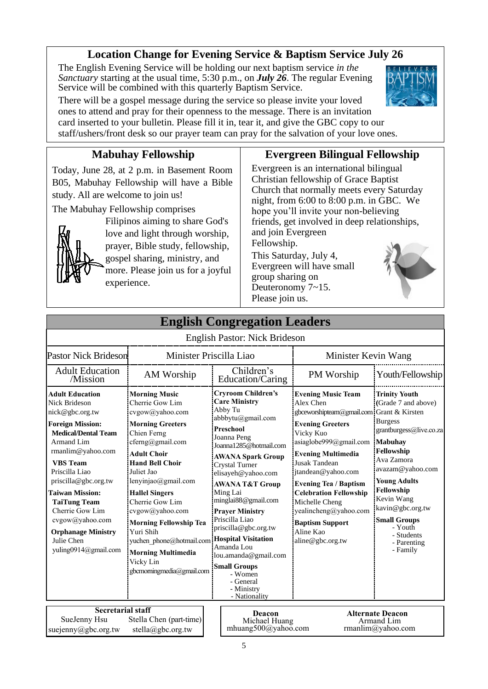### **Location Change for Evening Service & Baptism Service July 26**

The English Evening Service will be holding our next baptism service *in the Sanctuary* starting at the usual time, 5:30 p.m., on *July 26*. The regular Evening Service will be combined with this quarterly Baptism Service.

There will be a gospel message during the service so please invite your loved ones to attend and pray for their openness to the message. There is an invitation card inserted to your bulletin. Please fill it in, tear it, and give the GBC copy to our staff/ushers/front desk so our prayer team can pray for the salvation of your love ones.

## **Mabuhay Fellowship**

Today, June 28, at 2 p.m. in Basement Room B05, Mabuhay Fellowship will have a Bible study. All are welcome to join us!

The Mabuhay Fellowship comprises



Filipinos aiming to share God's love and light through worship, prayer, Bible study, fellowship, gospel sharing, ministry, and more. Please join us for a joyful experience.

### **Evergreen Bilingual Fellowship**

Evergreen is an international bilingual Christian fellowship of Grace Baptist Church that normally meets every Saturday night, from 6:00 to 8:00 p.m. in GBC. We hope you'll invite your non-believing friends, get involved in deep relationships, and join Evergreen Fellowship.

This Saturday, July 4, Evergreen will have small group sharing on Deuteronomy 7~15. Please join us.



|                                                                                                                                                                                                                                                                                                                                                                                             |                                                                                                                                                                                                                                                                                                                                                                                                                               | English Congregation Leauers                                                                                                                                                                                                                                                                                                                                                                                                                                                                                     |                                                                                                                                                                                                                                                                                                                                                                                                         |                                                                                                                                                                                                                                                                                                              |
|---------------------------------------------------------------------------------------------------------------------------------------------------------------------------------------------------------------------------------------------------------------------------------------------------------------------------------------------------------------------------------------------|-------------------------------------------------------------------------------------------------------------------------------------------------------------------------------------------------------------------------------------------------------------------------------------------------------------------------------------------------------------------------------------------------------------------------------|------------------------------------------------------------------------------------------------------------------------------------------------------------------------------------------------------------------------------------------------------------------------------------------------------------------------------------------------------------------------------------------------------------------------------------------------------------------------------------------------------------------|---------------------------------------------------------------------------------------------------------------------------------------------------------------------------------------------------------------------------------------------------------------------------------------------------------------------------------------------------------------------------------------------------------|--------------------------------------------------------------------------------------------------------------------------------------------------------------------------------------------------------------------------------------------------------------------------------------------------------------|
|                                                                                                                                                                                                                                                                                                                                                                                             |                                                                                                                                                                                                                                                                                                                                                                                                                               | English Pastor: Nick Brideson                                                                                                                                                                                                                                                                                                                                                                                                                                                                                    |                                                                                                                                                                                                                                                                                                                                                                                                         |                                                                                                                                                                                                                                                                                                              |
| Pastor Nick Brideson                                                                                                                                                                                                                                                                                                                                                                        |                                                                                                                                                                                                                                                                                                                                                                                                                               | Minister Priscilla Liao                                                                                                                                                                                                                                                                                                                                                                                                                                                                                          | Minister Kevin Wang                                                                                                                                                                                                                                                                                                                                                                                     |                                                                                                                                                                                                                                                                                                              |
| <b>Adult Education</b><br>/Mission                                                                                                                                                                                                                                                                                                                                                          | AM Worship                                                                                                                                                                                                                                                                                                                                                                                                                    | Children's<br>Education/Caring                                                                                                                                                                                                                                                                                                                                                                                                                                                                                   | PM Worship                                                                                                                                                                                                                                                                                                                                                                                              | Youth/Fellowship                                                                                                                                                                                                                                                                                             |
| <b>Adult Education</b><br><b>Nick Brideson</b><br>nick@gbc.org.tw<br><b>Foreign Mission:</b><br><b>Medical/Dental Team</b><br><b>Armand Lim</b><br>rmanlim@yahoo.com<br><b>VBS</b> Team<br>Priscilla Liao<br>priscilla@gbc.org.tw<br><b>Taiwan Mission:</b><br><b>TaiTung Team</b><br>Cherrie Gow Lim<br>cvgow@yahoo.com<br><b>Orphanage Ministry</b><br>Julie Chen<br>yuling0914@gmail.com | <b>Morning Music</b><br>Cherrie Gow Lim<br>cvgow@yahoo.com<br><b>Morning Greeters</b><br>Chien Ferng<br>cferng@gmail.com<br><b>Adult Choir</b><br><b>Hand Bell Choir</b><br>Juliet Jao<br>lenyinjao@gmail.com<br><b>Hallel Singers</b><br>Cherrie Gow Lim<br>cvgow@yahoo.com<br><b>Morning Fellowship Tea</b><br>Yuri Shih<br>yuchen phone@hotmail.com<br><b>Morning Multimedia</b><br>Vicky Lin<br>gbcmorningmedia@gmail.com | <b>Cryroom Children's</b><br><b>Care Ministry</b><br>Abby Tu<br>abbbytu@gmail.com<br><b>Preschool</b><br>Joanna Peng<br>Joanna1285@hotmail.com<br><b>AWANA Spark Group</b><br><b>Crystal Turner</b><br>elisayeh@yahoo.com<br><b>AWANA T&amp;T Group</b><br>Ming Lai<br>minglai88@gmail.com<br><b>Praver Ministry</b><br>Priscilla Liao<br>priscilla@gbc.org.tw<br><b>Hospital Visitation</b><br>Amanda Lou<br>lou.amanda@gmail.com<br><b>Small Groups</b><br>- Women<br>- General<br>- Ministry<br>- Nationality | <b>Evening Music Team</b><br>Alex Chen<br>gbceworshipteam@gmail.com Grant & Kirsten<br><b>Evening Greeters</b><br>Vicky Kuo<br>asiaglobe999@gmail.com<br><b>Evening Multimedia</b><br><b>Jusak Tandean</b><br>jtandean@yahoo.com<br><b>Evening Tea / Baptism</b><br><b>Celebration Fellowship</b><br>Michelle Cheng<br>yealincheng@yahoo.com<br><b>Baptism Support</b><br>Aline Kao<br>aline@gbc.org.tw | <b>Trinity Youth</b><br>(Grade 7 and above)<br><b>Burgess</b><br>grantburgess@live.co.za<br><b>Mabuhay</b><br>Fellowship<br>Ava Zamora<br>avazam@yahoo.com<br><b>Young Adults</b><br>Fellowship<br>Kevin Wang<br>kavin@gbc.org.tw<br><b>Small Groups</b><br>- Youth<br>- Students<br>- Parenting<br>- Family |
| <b>Secretarial staff</b><br>SueJenny Hsu<br>Stella Chen (part-time)<br>suejenny@gbc.org.tw<br>stella@gbc.org.tw                                                                                                                                                                                                                                                                             |                                                                                                                                                                                                                                                                                                                                                                                                                               | <b>Deacon</b><br>Michael Huang<br>mhuang500@yahoo.com                                                                                                                                                                                                                                                                                                                                                                                                                                                            |                                                                                                                                                                                                                                                                                                                                                                                                         | <b>Alternate Deacon</b><br>Armand Lim<br>rmanlim@yahoo.com                                                                                                                                                                                                                                                   |

**English Congregation Leader**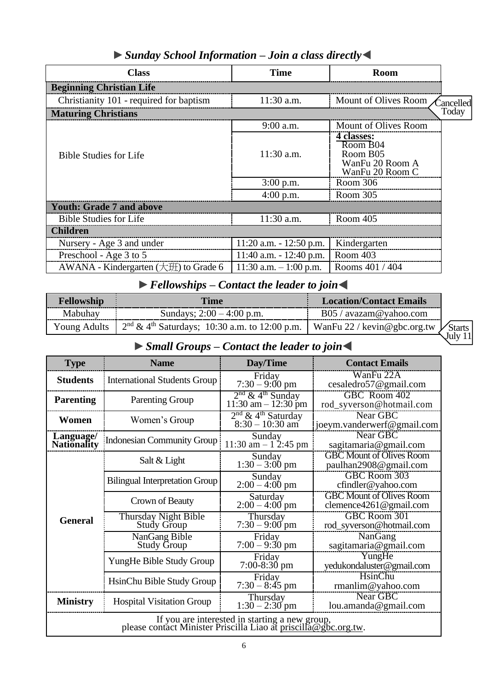| <b>Class</b>                                     | Time                       | <b>Room</b>                                                                          |
|--------------------------------------------------|----------------------------|--------------------------------------------------------------------------------------|
| <b>Beginning Christian Life</b>                  |                            |                                                                                      |
| Christianity 101 - required for baptism          | $11:30$ a.m.               | Mount of Olives Room<br>Cancelled                                                    |
| <b>Maturing Christians</b>                       |                            | Today                                                                                |
|                                                  | $9:00$ a.m.                | Mount of Olives Room                                                                 |
| <b>Bible Studies for Life</b>                    | $11:30$ a.m.               | 4 classes:<br>Room B04<br>Room B <sub>05</sub><br>WanFu 20 Room A<br>WanFu 20 Room C |
|                                                  | $3:00$ p.m.                | Room 306                                                                             |
|                                                  | $4:00$ p.m.                | Room 305                                                                             |
| <b>Youth: Grade 7 and above</b>                  |                            |                                                                                      |
| <b>Bible Studies for Life</b>                    | 11:30 a.m.                 | Room 405                                                                             |
| <b>Children</b>                                  |                            |                                                                                      |
| Nursery - Age 3 and under                        | $11:20$ a.m. $-12:50$ p.m. | Kindergarten                                                                         |
| Preschool - Age 3 to 5                           | 11:40 a.m. $- 12:40$ p.m.  | Room 403                                                                             |
| AWANA - Kindergarten $(\pm \text{H})$ to Grade 6 | 11:30 a.m. $-1:00$ p.m.    | Rooms 401 / 404                                                                      |

## ►*Sunday School Information – Join a class directly*◀

# **►***Fellowships – Contact the leader to join*◀

| Fellowship | Time                                                                                                 | Location/Contact Emails         |
|------------|------------------------------------------------------------------------------------------------------|---------------------------------|
| Mabuhay    | Sundays; $2:00 - 4:00$ p.m.                                                                          | $B05 / \text{avazam@yahoo.com}$ |
|            | Young Adults $\int 2^{nd} \& 4^{th}$ Saturdays; 10:30 a.m. to 12:00 p.m. WanFu 22 / kevin@gbc.org.tw |                                 |

**Starts** July 11

## **►***Small Groups – Contact the leader to join*◀

| <b>Type</b>                                                                                                       | <b>Name</b>                                     | Day/Time                                                 | <b>Contact Emails</b>                                     |  |
|-------------------------------------------------------------------------------------------------------------------|-------------------------------------------------|----------------------------------------------------------|-----------------------------------------------------------|--|
| <b>Students</b>                                                                                                   | <b>International Students Group</b>             | Friday<br>$7:30 - 9:00 \text{ pm}$                       | WanFu 22A<br>cesaledro57@gmail.com                        |  |
| <b>Parenting</b>                                                                                                  | <b>Parenting Group</b>                          | $2nd$ & 4 <sup>th</sup> Sunday<br>$11:30$ am $-12:30$ pm | GBC Room 402<br>rod_syverson@hotmail.com                  |  |
| Women                                                                                                             | Women's Group                                   | $2nd & 4th Saturday8:30 – 10:30 am$                      | Near GBC<br>joeym.vanderwerf@gmail.com                    |  |
| Language/<br><b>Nationality</b>                                                                                   | Indonesian Community Group                      | Sunday<br>11:30 am $- 1$ 2:45 pm                         | Near GBC<br>sagitamaria@gmail.com                         |  |
|                                                                                                                   | Salt & Light                                    | Sunday<br>$1:30 - 3:00$ pm                               | <b>GBC Mount of Olives Room</b><br>paulhan2908@gmail.com  |  |
|                                                                                                                   | <b>Bilingual Interpretation Group</b>           | Sunday<br>$2:00 - 4:00$ pm                               | <b>GBC Room 303</b><br>cfindler@yahoo.com                 |  |
|                                                                                                                   | Saturday<br>Crown of Beauty<br>$2:00 - 4:00$ pm |                                                          | <b>GBC Mount of Olives Room</b><br>clemence4261@gmail.com |  |
| <b>General</b>                                                                                                    | Thursday Night Bible<br><b>Study Group</b>      | Thursday<br>$7:30 - 9:00$ pm                             | GBC Room 301<br>rod_syverson@hotmail.com                  |  |
|                                                                                                                   | NanGang Bible<br><b>Study Group</b>             | Friday<br>$7:00 - 9:30$ pm                               | NanGang<br>sagitamaria@gmail.com                          |  |
|                                                                                                                   | YungHe Bible Study Group                        | Friday<br>$7:00-8:30$ pm                                 | YungHe<br>yedukondaluster@gmail.com                       |  |
|                                                                                                                   | HsinChu Bible Study Group                       | Friday<br>$7:30 - 8:45$ pm                               | HsinChu<br>rmanlim@yahoo.com                              |  |
| <b>Ministry</b>                                                                                                   | <b>Hospital Visitation Group</b>                | Thursday<br>$1:30 - 2:30$ pm                             | Near GBC<br>lou.amanda@gmail.com                          |  |
| If you are interested in starting a new group,<br>please contact Minister Priscilla Liao at priscilla@gbc.org.tw. |                                                 |                                                          |                                                           |  |